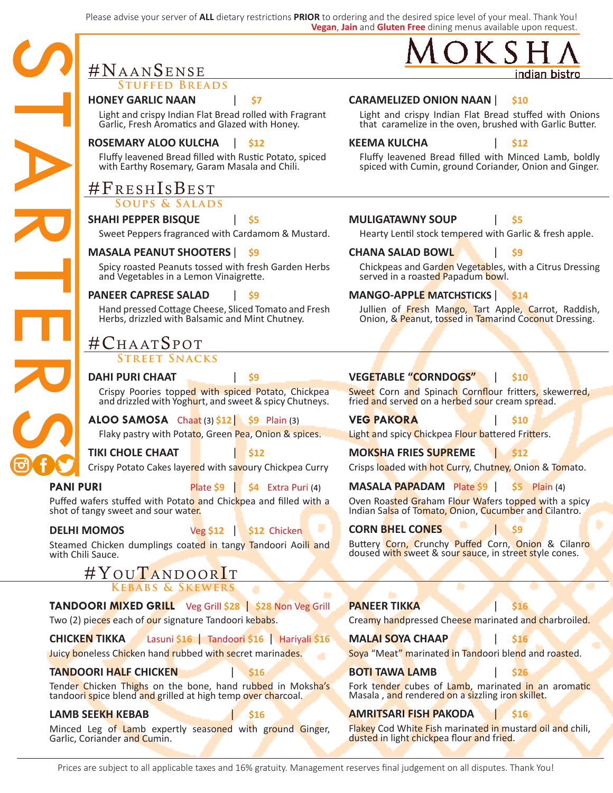Please advise your server of **ALL** dietary restrictions **PRIOR** to ordering and the desired spice level of your meal. Thank You! **Vegan**, **Jain** and **Gluten Free** dining menus available upon request.

|                  | #NAANSENSE                                                                                                   |           |                    |  |  |  |
|------------------|--------------------------------------------------------------------------------------------------------------|-----------|--------------------|--|--|--|
|                  | <b>STUFFED BREADS</b>                                                                                        |           |                    |  |  |  |
|                  | <b>HONEY GARLIC NAAN</b>                                                                                     |           | S7                 |  |  |  |
|                  | Light and crispy Indian Flat Bread rolled with Fragrant<br>Garlic, Fresh Aromatics and Glazed with Honey.    |           |                    |  |  |  |
|                  | <b>ROSEMARY ALOO KULCHA</b>                                                                                  |           | <b>S12</b>         |  |  |  |
|                  | Fluffy leavened Bread filled with Rustic Potato, spiced<br>with Earthy Rosemary, Garam Masala and Chili.     |           |                    |  |  |  |
|                  | #FRESHISBEST                                                                                                 |           |                    |  |  |  |
|                  | <b>SOUPS &amp; SALADS</b>                                                                                    |           |                    |  |  |  |
|                  | <b>SHAHI PEPPER BISQUE</b>                                                                                   |           | S5                 |  |  |  |
|                  | Sweet Peppers fragranced with Cardamom & Mustard.                                                            |           |                    |  |  |  |
|                  | <b>MASALA PEANUT SHOOTERS</b>                                                                                |           | - S9               |  |  |  |
|                  | Spicy roasted Peanuts tossed with fresh Garden Herbs<br>and Vegetables in a Lemon Vinaigrette.               |           |                    |  |  |  |
|                  | <b>PANEER CAPRESE SALAD</b>                                                                                  |           | S9                 |  |  |  |
|                  | Hand pressed Cottage Cheese, Sliced Tomato and Fresh<br>Herbs, drizzled with Balsamic and Mint Chutney.      |           |                    |  |  |  |
|                  | #CHAATSPOT                                                                                                   |           |                    |  |  |  |
|                  | <b>STREET SNACKS</b>                                                                                         |           |                    |  |  |  |
|                  | <b>DAHI PURI CHAAT</b>                                                                                       |           | Ś9                 |  |  |  |
|                  | Crispy Poories topped with spiced Potato, Chickpea<br>and drizzled with Yoghurt, and sweet & spicy Chutneys. |           |                    |  |  |  |
|                  | ALOO SAMOSA Chaat (3) $$12$ $$9$ Plain (3)                                                                   |           |                    |  |  |  |
|                  | Flaky pastry with Potato, Green Pea, Onion & spices.                                                         |           |                    |  |  |  |
|                  | <b>TIKI CHOLE CHAAT</b>                                                                                      |           | S12                |  |  |  |
|                  | Crispy Potato Cakes layered with savoury Chickpea Curry                                                      |           |                    |  |  |  |
| <b>PANI PURI</b> |                                                                                                              | Plate \$9 | \$4 Extra Puri (4) |  |  |  |

|                                                                                                              | Spicy roasted Peanuts tossed with fresh Garden Herbs<br>and Vegetables in a Lemon Vinaigrette.                             |           |                                                                                       | Chickpeas and Garden Vegetables, with<br>served in a roasted Papadum bowl.           |                                                                                                                                 |     |  |
|--------------------------------------------------------------------------------------------------------------|----------------------------------------------------------------------------------------------------------------------------|-----------|---------------------------------------------------------------------------------------|--------------------------------------------------------------------------------------|---------------------------------------------------------------------------------------------------------------------------------|-----|--|
|                                                                                                              | <b>PANEER CAPRESE SALAD</b>                                                                                                |           |                                                                                       | <b>MANGO-APPLE MATCHSTICKS</b><br><b>S14</b>                                         |                                                                                                                                 |     |  |
|                                                                                                              | Hand pressed Cottage Cheese, Sliced Tomato and Fresh<br>Herbs, drizzled with Balsamic and Mint Chutney.                    |           |                                                                                       |                                                                                      | Jullien of Fresh Mango, Tart Apple,<br>Onion, & Peanut, tossed in Tamarind Co                                                   |     |  |
|                                                                                                              | #CHAATSPOT                                                                                                                 |           |                                                                                       |                                                                                      |                                                                                                                                 |     |  |
| <b>STREET SNACKS</b>                                                                                         |                                                                                                                            |           |                                                                                       |                                                                                      |                                                                                                                                 |     |  |
|                                                                                                              | <b>DAHI PURI CHAAT</b>                                                                                                     |           | Ś9                                                                                    |                                                                                      | <b>VEGETABLE "CORNDOGS"</b>                                                                                                     | S10 |  |
| Crispy Poories topped with spiced Potato, Chickpea<br>and drizzled with Yoghurt, and sweet & spicy Chutneys. |                                                                                                                            |           |                                                                                       | Sweet Corn and Spinach Cornflour fritte<br>fried and served on a herbed sour cream s |                                                                                                                                 |     |  |
|                                                                                                              | ALOO SAMOSA Chaat (3) $$12$ $$9$ Plain (3)                                                                                 |           |                                                                                       |                                                                                      | <b>VEG PAKORA</b>                                                                                                               |     |  |
|                                                                                                              |                                                                                                                            |           | Flaky pastry with Potato, Green Pea, Onion & spices.                                  |                                                                                      | Light and spicy Chickpea Flour battered Fr                                                                                      |     |  |
|                                                                                                              | TIKI CHOLE CHAAT                                                                                                           |           | \$12                                                                                  |                                                                                      | <b>MOKSHA FRIES SUPREME</b>                                                                                                     |     |  |
|                                                                                                              | Crispy Potato Cakes layered with savoury Chickpea Curry                                                                    |           |                                                                                       |                                                                                      | Crisps loaded with hot Curry, Chutney, On                                                                                       |     |  |
| <b>PANI PURI</b>                                                                                             |                                                                                                                            | Plate \$9 | <b>\$4</b> Extra Puri (4)                                                             |                                                                                      | <b>MASALA PAPADAM</b> Plate \$9                                                                                                 | S5. |  |
|                                                                                                              | Puffed wafers stuffed with Potato and Chickpea and filled with a<br>shot of tangy sweet and sour water.                    |           |                                                                                       |                                                                                      | Oven Roasted Graham Flour Wafers toppe<br>Indian Salsa of Tomato, Onion, Cucumber                                               |     |  |
|                                                                                                              | <b>DELHI MOMOS</b>                                                                                                         |           | Veg \$12   \$12 Chicken                                                               |                                                                                      | <b>CORN BHEL CONES</b>                                                                                                          |     |  |
|                                                                                                              | Steamed Chicken dumplings coated in tangy Tandoori Aoili and<br>with Chili Sauce.                                          |           |                                                                                       |                                                                                      | Buttery Corn, Crunchy Puffed Corn, On<br>doused with sweet & sour sauce, in street                                              |     |  |
|                                                                                                              | #YOUTANDOORIT                                                                                                              |           |                                                                                       |                                                                                      |                                                                                                                                 |     |  |
|                                                                                                              | <b>KEBABS &amp; SKEWERS</b>                                                                                                |           |                                                                                       |                                                                                      |                                                                                                                                 |     |  |
|                                                                                                              | TANDOORI MIXED GRILL Veg Grill \$28   \$28 Non Veg Grill                                                                   |           |                                                                                       |                                                                                      | <b>PANEER TIKKA</b>                                                                                                             |     |  |
| Two (2) pieces each of our signature Tandoori kebabs.                                                        |                                                                                                                            |           |                                                                                       | Creamy handpressed Cheese marinated a                                                |                                                                                                                                 |     |  |
|                                                                                                              | CHICKEN TIKKA                                                                                                              |           | Lasuni \$16   Tandoori \$16   Hariyali \$16                                           |                                                                                      | <b>MALAI SOYA CHAAP</b>                                                                                                         | 916 |  |
|                                                                                                              | Juicy boneless Chicken hand rubbed with secret marinades.                                                                  |           |                                                                                       |                                                                                      | Soya "Meat" marinated in Tandoori blend                                                                                         |     |  |
|                                                                                                              | <b>TANDOORI HALF CHICKEN</b>                                                                                               |           |                                                                                       |                                                                                      | <b>BOTI TAWA LAMB</b>                                                                                                           | S26 |  |
|                                                                                                              | Tender Chicken Thighs on the bone, hand rubbed in Moksha's<br>tandoori spice blend and grilled at high temp over charcoal. |           |                                                                                       |                                                                                      | Fork tender cubes of Lamb, marinated i<br>Masala, and rendered on a sizzling iron sk                                            |     |  |
|                                                                                                              | LAMB SEEKH KEBAB                                                                                                           |           |                                                                                       |                                                                                      | <b>AMRITSARI FISH PAKODA</b>                                                                                                    |     |  |
| Minced Leg of Lamb expertly seasoned with ground Ginger,<br>Garlic, Coriander and Cumin.                     |                                                                                                                            |           | Flakey Cod White Fish marinated in musta<br>dusted in light chickpea flour and fried. |                                                                                      |                                                                                                                                 |     |  |
|                                                                                                              |                                                                                                                            |           |                                                                                       |                                                                                      | مطت ومشروباته المرورة ويستوارين اموته والمستحدث وبالمستوميه فالمشارع والمستردون والمستقار والمسترا والمستقار والمستور والمستحدث |     |  |

# **CARAMELIZED ONION NAAN**| **\$10**

Light and crispy Indian Flat Bread stuffed with Onions that caramelize in the oven, brushed with Garlic Butter.

# **KEEMA KULCHA** | **\$12**

Fluffy leavened Bread filled with Minced Lamb, boldly spiced with Cumin, ground Coriander, Onion and Ginger.

#### **MULIGATAWNY SOUP** | **\$5**

Hearty Lentil stock tempered with Garlic & fresh apple.

#### **CHANA SALAD BOWL** | **\$9**

Chickpeas and Garden Vegetables, with a Citrus Dressing ed in a roasted Papadum bowl.

#### **MANGO-APPLE MATCHSTICKS** | **\$14**

en of Fresh Mango, Tart Apple, Carrot, Raddish, n, & Peanut, tossed in Tamarind Coconut Dressing.

### **VEGETABLE "CORNDOGS"** | **\$10**

Corn and Spinach Cornflour fritters, skewerred, <mark>nd</mark> serv<mark>ed</mark> on a he<mark>rbe</mark>d s<mark>ou</mark>r cream sp<mark>re</mark>ad.

nd spicy Chickpea Flour battered Fritters.

**MOKSHA FRIES SUPREME** | **\$12**

#### **MASALA PAPADAM** Plate **\$9** | **\$5** Plain (4)

oasted Graham Flour Wafers topped with a spicy Salsa of Tomato, Onion, Cucumber and Cilantro.

#### **CONES** | \$9

Corn, Crunchy Puffed Corn, Onion & Cilanro with sweet & sour sauce, in street style cones.

# **PANEER TIKKA** | **\$16** handpressed Cheese marinated and charbroiled.

Aeat" marinated in Tandoori blend and roasted.

#### **BOTI TAWA LAMB** | **\$26**

nder cubes of Lamb, marinated in an aromatic , and rendered on a sizzling iron skillet.

#### **AMRITSARI FISH PAKODA** | **\$16**

Cod Whi<mark>te Fi</mark>sh marinated in mustard oil and chili, in light chickpea flour and fried.

oaded with hot Curry, Chutney, Onion & Tomato.

# <mark>#YouTandoorI</mark>t

# $TANDOOF$

# LAMB SEE